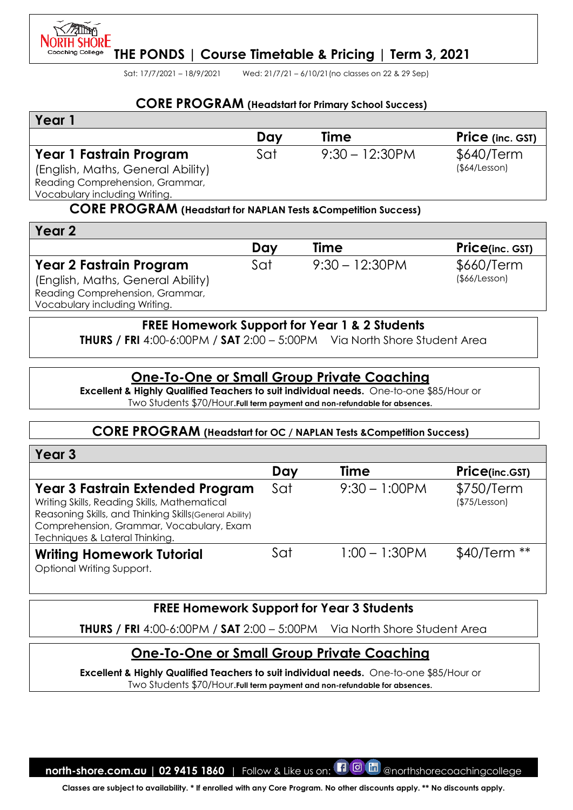

Sat: 17/7/2021 – 18/9/2021 Wed: 21/7/21 – 6/10/21(no classes on 22 & 29 Sep)

#### **CORE PROGRAM (Headstart for Primary School Success)**

| Year                              |     |                   |                  |
|-----------------------------------|-----|-------------------|------------------|
|                                   | Dav | Time              | Price (inc. GST) |
| Year 1 Fastrain Program           | Sat | $9:30 - 12:30$ PM | \$640/Term       |
| (English, Maths, General Ability) |     |                   | (\$4/Lesson)     |
| Reading Comprehension, Grammar,   |     |                   |                  |
| Vocabulary including Writing.     |     |                   |                  |

#### **CORE PROGRAM (Headstart for NAPLAN Tests &Competition Success)**

| Year 2                            |     |                   |                         |
|-----------------------------------|-----|-------------------|-------------------------|
|                                   | Day | <b>Time</b>       | <b>Price</b> (inc. GST) |
| <b>Year 2 Fastrain Program</b>    | Sat | $9:30 - 12:30$ PM | \$660/Term              |
| (English, Maths, General Ability) |     |                   | $($ \$66/Lesson $)$     |
| Reading Comprehension, Grammar,   |     |                   |                         |
| Vocabulary including Writing.     |     |                   |                         |

#### **FREE Homework Support for Year 1 & 2 Students**

**THURS / FRI** 4:00-6:00PM / **SAT** 2:00 – 5:00PM Via North Shore Student Area

### **One-To-One or Small Group Private Coaching**

**Excellent & Highly Qualified Teachers to suit individual needs.** One-to-one \$85/Hour or Two Students \$70/Hour.**Full term payment and non-refundable for absences.**

#### **CORE PROGRAM (Headstart for OC / NAPLAN Tests &Competition Success)**

| Year <sub>3</sub>                                                                                                                                                                                                                |     |                  |                             |
|----------------------------------------------------------------------------------------------------------------------------------------------------------------------------------------------------------------------------------|-----|------------------|-----------------------------|
|                                                                                                                                                                                                                                  | Day | Time             | Price(inc.GST)              |
| <b>Year 3 Fastrain Extended Program</b><br>Writing Skills, Reading Skills, Mathematical<br>Reasoning Skills, and Thinking Skills (General Ability)<br>Comprehension, Grammar, Vocabulary, Exam<br>Techniques & Lateral Thinking. | Sat | $9:30 - 1:00$ PM | \$750/Term<br>(\$75/Lesson) |
| <b>Writing Homework Tutorial</b><br>Optional Writing Support.                                                                                                                                                                    | Sat | $1:00 - 1:30$ PM | \$40/Term **                |

## **FREE Homework Support for Year 3 Students**

**THURS / FRI** 4:00-6:00PM / **SAT** 2:00 – 5:00PM Via North Shore Student Area

# **One-To-One or Small Group Private Coaching**

**Excellent & Highly Qualified Teachers to suit individual needs.** One-to-one \$85/Hour or Two Students \$70/Hour.**Full term payment and non-refundable for absences.**

**north-shore.com.au | 02 9415 1860** | Follow & Like us on: **[1 0 m** @northshorecoachingcollege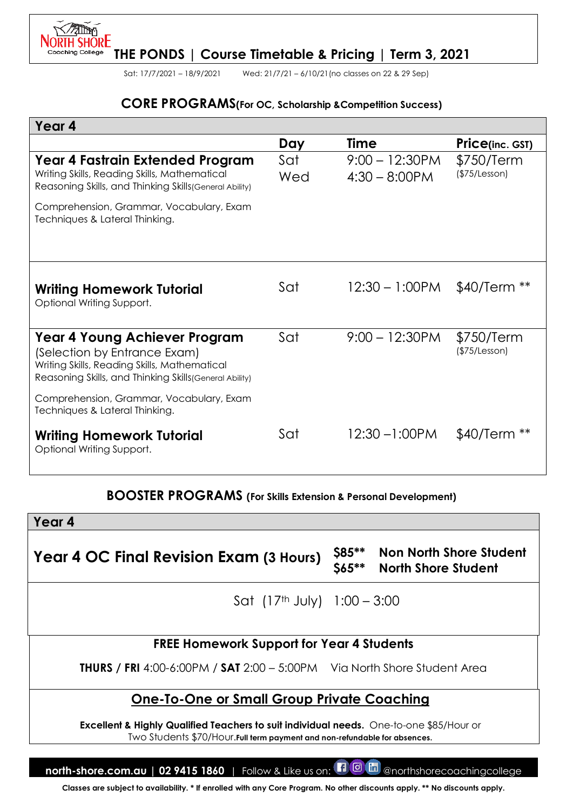

Sat: 17/7/2021 – 18/9/2021 Wed: 21/7/21 – 6/10/21(no classes on 22 & 29 Sep)

#### **CORE PROGRAMS(For OC, Scholarship &Competition Success)**

| Year 4                                                                                                                                                                                                                    |            |                                       |                             |
|---------------------------------------------------------------------------------------------------------------------------------------------------------------------------------------------------------------------------|------------|---------------------------------------|-----------------------------|
|                                                                                                                                                                                                                           | Day        | <b>Time</b>                           | <b>Price(inc. GST)</b>      |
| Year 4 Fastrain Extended Program<br>Writing Skills, Reading Skills, Mathematical<br>Reasoning Skills, and Thinking Skills (General Ability)<br>Comprehension, Grammar, Vocabulary, Exam<br>Techniques & Lateral Thinking. | Sat<br>Wed | $9:00 - 12:30$ PM<br>$4:30 - 8:00$ PM | \$750/Term<br>(\$75/Lesson) |
| <b>Writing Homework Tutorial</b><br>Optional Writing Support.                                                                                                                                                             | Sat        | $12:30 - 1:00$ PM                     | $$40/Term **$               |
| <b>Year 4 Young Achiever Program</b><br>(Selection by Entrance Exam)<br>Writing Skills, Reading Skills, Mathematical<br>Reasoning Skills, and Thinking Skills (General Ability)                                           | Sat        | $9:00 - 12:30$ PM                     | \$750/Term<br>(\$75/Lesson) |
| Comprehension, Grammar, Vocabulary, Exam<br>Techniques & Lateral Thinking.                                                                                                                                                |            |                                       |                             |
| <b>Writing Homework Tutorial</b><br>Optional Writing Support.                                                                                                                                                             | Sat        | $12:30 - 1:00$ PM                     | \$40/Term                   |

### **BOOSTER PROGRAMS (For Skills Extension & Personal Development)**

| Year 4                                                                                                                                                                           |                        |                                                              |  |  |  |
|----------------------------------------------------------------------------------------------------------------------------------------------------------------------------------|------------------------|--------------------------------------------------------------|--|--|--|
| <b>Year 4 OC Final Revision Exam (3 Hours)</b>                                                                                                                                   | \$85**<br><b>S65**</b> | <b>Non North Shore Student</b><br><b>North Shore Student</b> |  |  |  |
| Sat $(17th$ July) $1:00 - 3:00$                                                                                                                                                  |                        |                                                              |  |  |  |
| <b>FREE Homework Support for Year 4 Students</b>                                                                                                                                 |                        |                                                              |  |  |  |
| <b>THURS</b> / FRI 4:00-6:00PM / SAT 2:00 - 5:00PM Via North Shore Student Area                                                                                                  |                        |                                                              |  |  |  |
| <b>One-To-One or Small Group Private Coaching</b>                                                                                                                                |                        |                                                              |  |  |  |
| <b>Excellent &amp; Highly Qualified Teachers to suit individual needs.</b> One-to-one \$85/Hour or<br>Two Students \$70/Hour. Full term payment and non-refundable for absences. |                        |                                                              |  |  |  |

**north-shore.com.au | 02 9415 1860** | Follow & Like us on: **[1 0 m** @northshorecoachingcollege **Classes are subject to availability. \* If enrolled with any Core Program. No other discounts apply. \*\* No discounts apply.**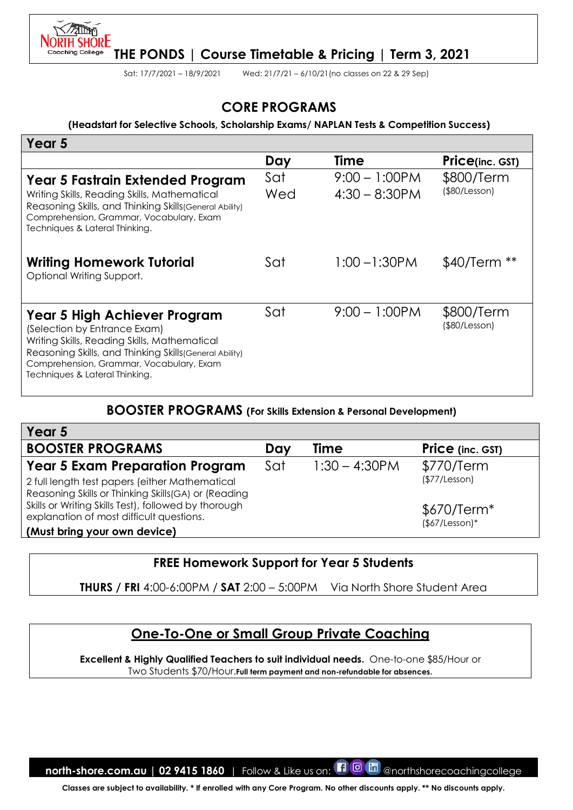

Sat: 17/7/2021 – 18/9/2021 Wed: 21/7/21 – 6/10/21(no classes on 22 & 29 Sep)

## **CORE PROGRAMS**

#### **(Headstart for Selective Schools, Scholarship Exams/ NAPLAN Tests & Competition Success)**

| Year 5                                                                                                                                                                                                                                                |            |                                      |                             |
|-------------------------------------------------------------------------------------------------------------------------------------------------------------------------------------------------------------------------------------------------------|------------|--------------------------------------|-----------------------------|
|                                                                                                                                                                                                                                                       | Day        | <b>Time</b>                          | Price(inc. GST)             |
| Year 5 Fastrain Extended Program<br>Writing Skills, Reading Skills, Mathematical<br>Reasoning Skills, and Thinking Skills (General Ability)<br>Comprehension, Grammar, Vocabulary, Exam<br>Techniques & Lateral Thinking.                             | Sat<br>Wed | $9:00 - 1:00$ PM<br>$4:30 - 8:30$ PM | \$800/Term<br>(\$80/Lesson) |
| <b>Writing Homework Tutorial</b><br>Optional Writing Support.                                                                                                                                                                                         | Sat        | $1:00 - 1:30$ PM                     | $$40/Term **$               |
| Year 5 High Achiever Program<br>(Selection by Entrance Exam)<br>Writing Skills, Reading Skills, Mathematical<br>Reasoning Skills, and Thinking Skills (General Ability)<br>Comprehension, Grammar, Vocabulary, Exam<br>Techniques & Lateral Thinking. | Sat        | $9:00 - 1:00$ PM                     | \$800/Term<br>(\$80/Lesson) |

#### **BOOSTER PROGRAMS (For Skills Extension & Personal Development)**

| Year 5                                               |     |                  |                         |
|------------------------------------------------------|-----|------------------|-------------------------|
| <b>BOOSTER PROGRAMS</b>                              | Day | <b>Time</b>      | <b>Price</b> (inc. GST) |
| <b>Year 5 Exam Preparation Program</b>               | Sat | $1:30 - 4:30$ PM | \$770/Term              |
| 2 full length test papers (either Mathematical       |     |                  | (\$77/Lesson)           |
| Reasoning Skills or Thinking Skills (GA) or (Reading |     |                  |                         |
| Skills or Writing Skills Test), followed by thorough |     |                  | $$670/Term*$            |
| explanation of most difficult questions.             |     |                  | $($7/Lesson)*$          |
| (Must bring your own device)                         |     |                  |                         |

#### **FREE Homework Support for Year 5 Students**

**THURS / FRI** 4:00-6:00PM / **SAT** 2:00 – 5:00PM Via North Shore Student Area

## **One-To-One or Small Group Private Coaching**

**Excellent & Highly Qualified Teachers to suit individual needs.** One-to-one \$85/Hour or Two Students \$70/Hour.**Full term payment and non-refundable for absences.**

**north-shore.com.au | 02 9415 1860** | Follow & Like us on: **[1 0 m** @northshorecoachingcollege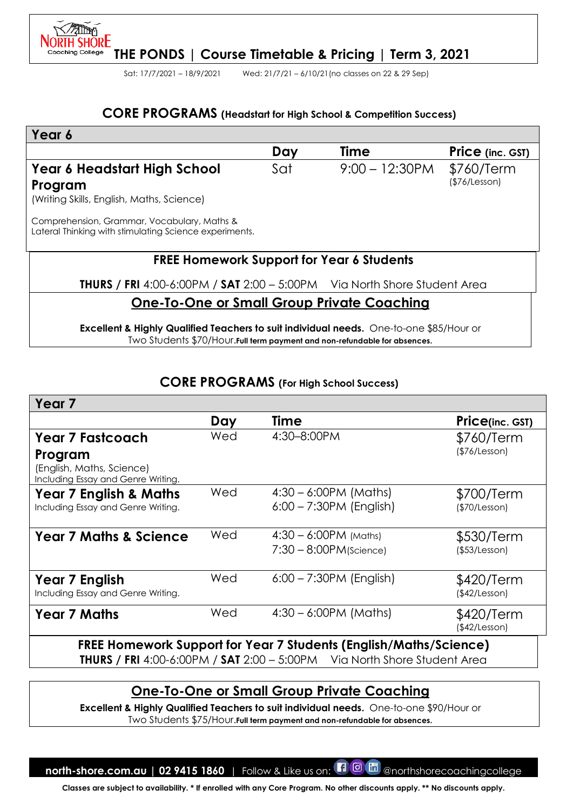

Sat: 17/7/2021 – 18/9/2021 Wed: 21/7/21 – 6/10/21(no classes on 22 & 29 Sep)

#### **CORE PROGRAMS (Headstart for High School & Competition Success)**

| Year 6                                                                                                |     |                   |                             |  |  |
|-------------------------------------------------------------------------------------------------------|-----|-------------------|-----------------------------|--|--|
|                                                                                                       | Day | Time              | <b>Price</b> (inc. GST)     |  |  |
| Year 6 Headstart High School<br>Program<br>(Writing Skills, English, Maths, Science)                  | Sat | $9:00 - 12:30$ PM | \$760/Term<br>(\$76/Lesson) |  |  |
| Comprehension, Grammar, Vocabulary, Maths &<br>Lateral Thinking with stimulating Science experiments. |     |                   |                             |  |  |
| <b>FREE Homework Support for Year 6 Students</b>                                                      |     |                   |                             |  |  |
| <b>THURS / FRI</b> 4:00-6:00PM / SAT 2:00 - 5:00PM Via North Shore Student Area                       |     |                   |                             |  |  |
| <b>One-To-One or Small Group Private Coaching</b>                                                     |     |                   |                             |  |  |
| <b>Excellent &amp; Highly Qualified Teachers to suit individual needs.</b> One-to-one \$85/Hour or    |     |                   |                             |  |  |

Two Students \$70/Hour.**Full term payment and non-refundable for absences.**

### **CORE PROGRAMS (For High School Success)**

| Year <sub>7</sub>                                                          |     |                                                                   |                             |
|----------------------------------------------------------------------------|-----|-------------------------------------------------------------------|-----------------------------|
|                                                                            | Day | Time                                                              | Price(inc. GST)             |
| <b>Year 7 Fastcoach</b>                                                    | Wed | 4:30-8:00PM                                                       | \$760/Term<br>(\$76/Lesson) |
| Program<br>(English, Maths, Science)<br>Including Essay and Genre Writing. |     |                                                                   |                             |
| <b>Year 7 English &amp; Maths</b>                                          | Wed | $4:30 - 6:00PM$ (Maths)                                           | \$700/Term                  |
| Including Essay and Genre Writing.                                         |     | $6:00 - 7:30PM$ (English)                                         | (\$70/Lesson)               |
| <b>Year 7 Maths &amp; Science</b>                                          | Wed | $4:30 - 6:00PM$ (Maths)<br>$7:30 - 8:00$ PM(Science)              | \$530/Term<br>(\$53/Lesson) |
| Year 7 English<br>Including Essay and Genre Writing.                       | Wed | $6:00 - 7:30PM$ (English)                                         | \$420/Term<br>(\$42/Lesson) |
| <b>Year 7 Maths</b>                                                        | Wed | $4:30 - 6:00PM$ (Maths)                                           | \$420/Term<br>(\$42/Lesson) |
|                                                                            |     | FREE Homework Support for Year 7 Students (English/Maths/Science) |                             |

**THURS / FRI** 4:00-6:00PM / **SAT** 2:00 – 5:00PM Via North Shore Student Area

# **One-To-One or Small Group Private Coaching**

**Excellent & Highly Qualified Teachers to suit individual needs.** One-to-one \$90/Hour or Two Students \$75/Hour.**Full term payment and non-refundable for absences.**

**north-shore.com.au | 02 9415 1860** | Follow & Like us on:  $\Box$  @ morthshorecoachingcollege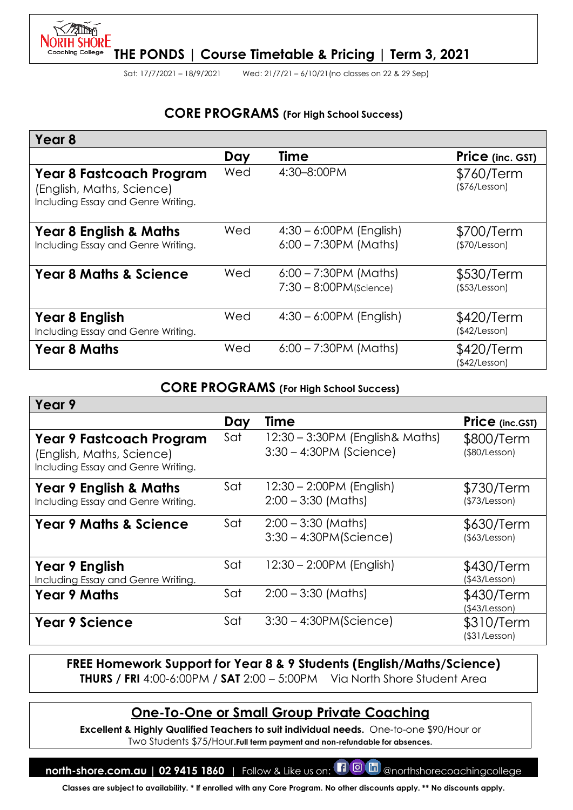

Sat: 17/7/2021 – 18/9/2021 Wed: 21/7/21 – 6/10/21(no classes on 22 & 29 Sep)

# **CORE PROGRAMS (For High School Success)**

| Year <sub>8</sub>                                                                           |     |                                                      |                                   |
|---------------------------------------------------------------------------------------------|-----|------------------------------------------------------|-----------------------------------|
|                                                                                             | Day | <b>Time</b>                                          | Price (inc. GST)                  |
| Year 8 Fastcoach Program<br>(English, Maths, Science)<br>Including Essay and Genre Writing. | Wed | 4:30-8:00PM                                          | \$760/Term<br>(\$76/Lesson)       |
| <b>Year 8 English &amp; Maths</b><br>Including Essay and Genre Writing.                     | Wed | $4:30 - 6:00PM$ (English)<br>$6:00 - 7:30PM$ (Maths) | \$700/Term<br>(\$70/Lesson)       |
| <b>Year 8 Maths &amp; Science</b>                                                           | Wed | $6:00 - 7:30PM$ (Maths)<br>$7:30 - 8:00$ PM(Science) | \$530/Term<br>$($ \$53/Lesson $)$ |
| Year 8 English<br>Including Essay and Genre Writing.                                        | Wed | $4:30 - 6:00PM$ (English)                            | \$420/Term<br>(\$42/Lesson)       |
| <b>Year 8 Maths</b>                                                                         | Wed | $6:00 - 7:30PM$ (Maths)                              | \$420/Term<br>(\$42/Lesson)       |

#### **CORE PROGRAMS (For High School Success)**

| Year 9                                                                                      |     |                                                                |                                   |
|---------------------------------------------------------------------------------------------|-----|----------------------------------------------------------------|-----------------------------------|
|                                                                                             | Day | Time                                                           | Price (inc.GST)                   |
| Year 9 Fastcoach Program<br>(English, Maths, Science)<br>Including Essay and Genre Writing. | Sat | 12:30 – 3:30PM (English & Maths)<br>$3:30 - 4:30$ PM (Science) | \$800/Term<br>(\$80/Lesson)       |
| <b>Year 9 English &amp; Maths</b><br>Including Essay and Genre Writing.                     | Sat | $12:30 - 2:00$ PM (English)<br>$2:00 - 3:30$ (Maths)           | \$730/Term<br>(\$73/Lesson)       |
| <b>Year 9 Maths &amp; Science</b>                                                           | Sat | $2:00 - 3:30$ (Maths)<br>$3:30 - 4:30PM(Science)$              | \$630/Term<br>(\$3/Lesson)        |
| Year 9 English<br>Including Essay and Genre Writing.                                        | Sat | 12:30 - 2:00PM (English)                                       | \$430/Term<br>(\$43/Lesson)       |
| <b>Year 9 Maths</b>                                                                         | Sat | $2:00 - 3:30$ (Maths)                                          | \$430/Term<br>(\$43/Lesson)       |
| <b>Year 9 Science</b>                                                                       | Sat | $3:30 - 4:30PM(Science)$                                       | \$310/Term<br>$($ \$31/Lesson $)$ |
|                                                                                             |     |                                                                |                                   |

### **FREE Homework Support for Year 8 & 9 Students (English/Maths/Science) THURS / FRI** 4:00-6:00PM / **SAT** 2:00 – 5:00PM Via North Shore Student Area

# **One-To-One or Small Group Private Coaching**

**Excellent & Highly Qualified Teachers to suit individual needs.** One-to-one \$90/Hour or Two Students \$75/Hour.**Full term payment and non-refundable for absences.**

**north-shore.com.au | 02 9415 1860** | Follow & Like us on: **[1 0 m** @northshorecoachingcollege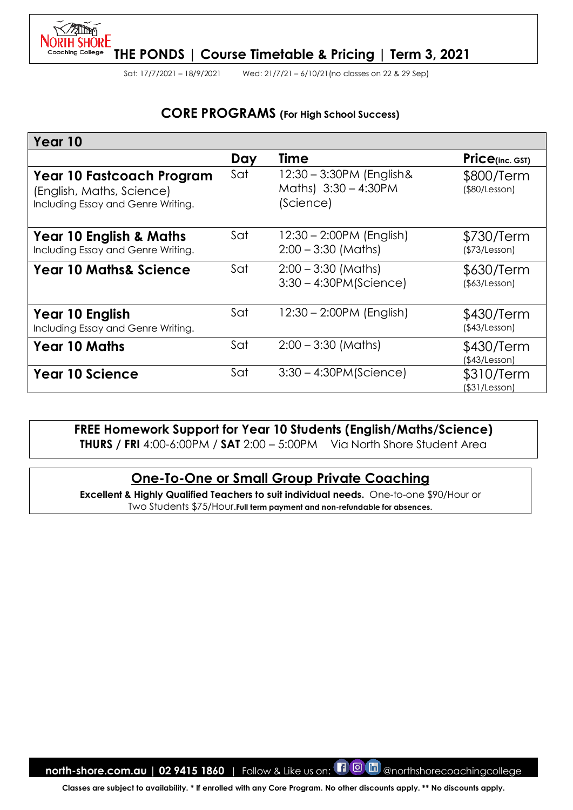

Sat: 17/7/2021 – 18/9/2021 Wed: 21/7/21 – 6/10/21(no classes on 22 & 29 Sep)

# **CORE PROGRAMS (For High School Success)**

| Year 10                                                                                             |     |                                                                |                             |
|-----------------------------------------------------------------------------------------------------|-----|----------------------------------------------------------------|-----------------------------|
|                                                                                                     | Day | Time                                                           | $Price_{(inc. GST)}$        |
| <b>Year 10 Fastcoach Program</b><br>(English, Maths, Science)<br>Including Essay and Genre Writing. | Sat | 12:30 - 3:30PM (English &<br>Maths) 3:30 - 4:30PM<br>(Science) | \$800/Term<br>(\$80/Lesson) |
| <b>Year 10 English &amp; Maths</b><br>Including Essay and Genre Writing.                            | Sat | $12:30 - 2:00PM$ (English)<br>$2:00 - 3:30$ (Maths)            | \$730/Term<br>(\$73/Lesson) |
| <b>Year 10 Maths&amp; Science</b>                                                                   | Sat | $2:00 - 3:30$ (Maths)<br>$3:30 - 4:30PM(Science)$              | \$630/Term<br>(\$3/Lesson)  |
| Year 10 English<br>Including Essay and Genre Writing.                                               | Sat | 12:30 - 2:00PM (English)                                       | \$430/Term<br>(\$43/Lesson) |
| <b>Year 10 Maths</b>                                                                                | Sat | $2:00 - 3:30$ (Maths)                                          | \$430/Term<br>(\$43/Lesson) |
| <b>Year 10 Science</b>                                                                              | Sat | $3:30 - 4:30PM(Science)$                                       | \$310/Term<br>\$31/Lesson)  |

## **FREE Homework Support for Year 10 Students (English/Maths/Science)**

**THURS / FRI** 4:00-6:00PM / **SAT** 2:00 – 5:00PM Via North Shore Student Area

# **One-To-One or Small Group Private Coaching**

**Excellent & Highly Qualified Teachers to suit individual needs.** One-to-one \$90/Hour or Two Students \$75/Hour.**Full term payment and non-refundable for absences.**

**north-shore.com.au | 02 9415 1860** | Follow & Like us on: **[1 0 m** @northshorecoachingcollege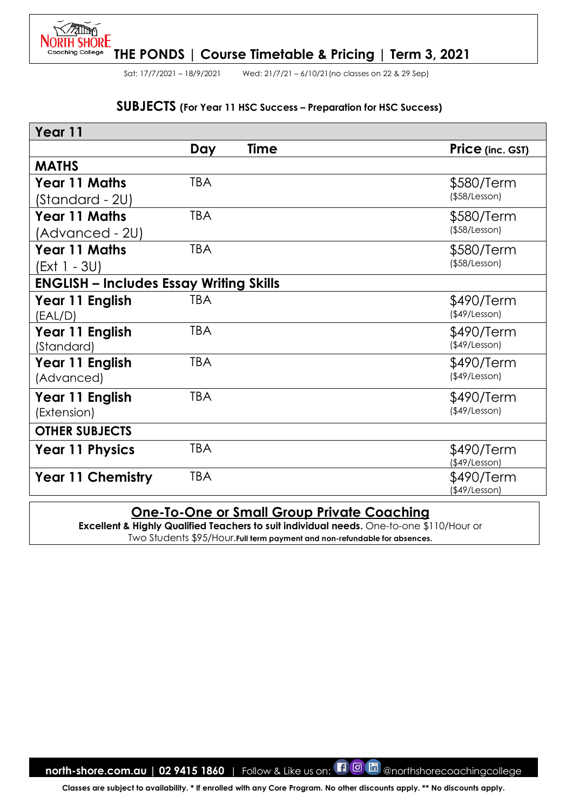

Sat: 17/7/2021 – 18/9/2021 Wed: 21/7/21 – 6/10/21(no classes on 22 & 29 Sep)

#### **SUBJECTS (For Year 11 HSC Success – Preparation for HSC Success)**

| Year 11                                        |            |             |                     |  |
|------------------------------------------------|------------|-------------|---------------------|--|
|                                                | Day        | <b>Time</b> | Price (inc. GST)    |  |
| <b>MATHS</b>                                   |            |             |                     |  |
| <b>Year 11 Maths</b>                           | <b>TBA</b> |             | \$580/Term          |  |
| (Standard - 2U)                                |            |             | $($ \$58/Lesson $)$ |  |
| <b>Year 11 Maths</b>                           | <b>TBA</b> |             | \$580/Term          |  |
| (Advanced - 2U)                                |            |             | $($ \$58/Lesson $)$ |  |
| <b>Year 11 Maths</b>                           | <b>TBA</b> |             | \$580/Term          |  |
| (Ext 1 - 3U)                                   |            |             | $($ \$58/Lesson $)$ |  |
| <b>ENGLISH - Includes Essay Writing Skills</b> |            |             |                     |  |
| Year 11 English                                | TBA        |             | \$490/Term          |  |
| (EAL/D)                                        |            |             | $($ \$49/Lesson $)$ |  |
| Year 11 English                                | <b>TBA</b> |             | \$490/Term          |  |
| (Standard)                                     |            |             | $($ \$49/Lesson $)$ |  |
| Year 11 English                                | <b>TBA</b> |             | \$490/Term          |  |
| (Advanced)                                     |            |             | $($ \$49/Lesson $)$ |  |
| Year 11 English                                | <b>TBA</b> |             | \$490/Term          |  |
| (Extension)                                    |            |             | $($ \$49/Lesson $)$ |  |
| <b>OTHER SUBJECTS</b>                          |            |             |                     |  |
| <b>Year 11 Physics</b>                         | <b>TBA</b> |             | \$490/Term          |  |
|                                                |            |             | (\$49/Lesson)       |  |
| <b>Year 11 Chemistry</b>                       | <b>TBA</b> |             | \$490/Term          |  |
|                                                |            |             | (\$49/Lesson)       |  |

## **One-To-One or Small Group Private Coaching**

**Excellent & Highly Qualified Teachers to suit individual needs.** One-to-one \$110/Hour or Two Students \$95/Hour.**Full term payment and non-refundable for absences.**

**north-shore.com.au | 02 9415 1860** | Follow & Like us on: **[1 0 m** @northshorecoachingcollege